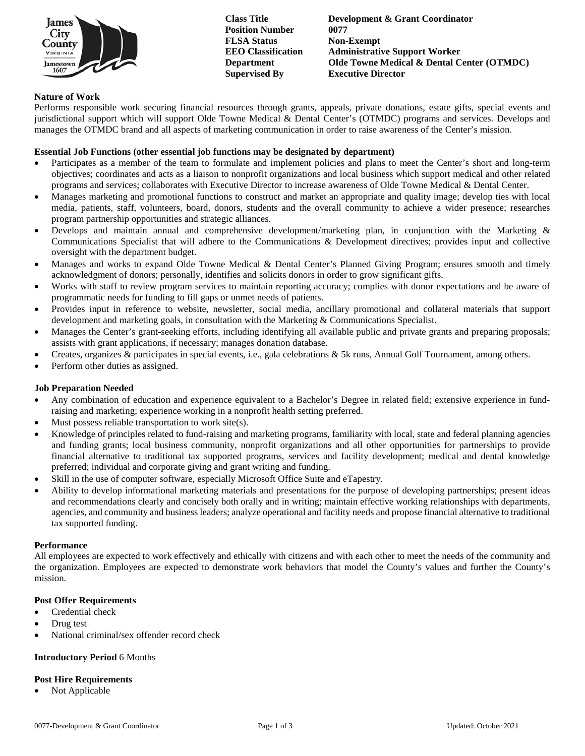

**Position Number 0077 FLSA Status Non-Exempt Supervised By Executive Director**

**Class Title Development & Grant Coordinator EEO Classification Administrative Support Worker Department Olde Towne Medical & Dental Center (OTMDC)**

# **Nature of Work**

Performs responsible work securing financial resources through grants, appeals, private donations, estate gifts, special events and jurisdictional support which will support Olde Towne Medical & Dental Center's (OTMDC) programs and services. Develops and manages the OTMDC brand and all aspects of marketing communication in order to raise awareness of the Center's mission.

### **Essential Job Functions (other essential job functions may be designated by department)**

- Participates as a member of the team to formulate and implement policies and plans to meet the Center's short and long-term objectives; coordinates and acts as a liaison to nonprofit organizations and local business which support medical and other related programs and services; collaborates with Executive Director to increase awareness of Olde Towne Medical & Dental Center.
- Manages marketing and promotional functions to construct and market an appropriate and quality image; develop ties with local media, patients, staff, volunteers, board, donors, students and the overall community to achieve a wider presence; researches program partnership opportunities and strategic alliances.
- Develops and maintain annual and comprehensive development/marketing plan, in conjunction with the Marketing & Communications Specialist that will adhere to the Communications & Development directives; provides input and collective oversight with the department budget.
- Manages and works to expand Olde Towne Medical & Dental Center's Planned Giving Program; ensures smooth and timely acknowledgment of donors; personally, identifies and solicits donors in order to grow significant gifts.
- Works with staff to review program services to maintain reporting accuracy; complies with donor expectations and be aware of programmatic needs for funding to fill gaps or unmet needs of patients.
- Provides input in reference to website, newsletter, social media, ancillary promotional and collateral materials that support development and marketing goals, in consultation with the Marketing & Communications Specialist.
- Manages the Center's grant-seeking efforts, including identifying all available public and private grants and preparing proposals; assists with grant applications, if necessary; manages donation database.
- Creates, organizes & participates in special events, i.e., gala celebrations & 5k runs, Annual Golf Tournament, among others.
- Perform other duties as assigned.

## **Job Preparation Needed**

- Any combination of education and experience equivalent to a Bachelor's Degree in related field; extensive experience in fundraising and marketing; experience working in a nonprofit health setting preferred.
- Must possess reliable transportation to work site $(s)$ .
- Knowledge of principles related to fund-raising and marketing programs, familiarity with local, state and federal planning agencies and funding grants; local business community, nonprofit organizations and all other opportunities for partnerships to provide financial alternative to traditional tax supported programs, services and facility development; medical and dental knowledge preferred; individual and corporate giving and grant writing and funding.
- Skill in the use of computer software, especially Microsoft Office Suite and eTapestry.
- Ability to develop informational marketing materials and presentations for the purpose of developing partnerships; present ideas and recommendations clearly and concisely both orally and in writing; maintain effective working relationships with departments, agencies, and community and business leaders; analyze operational and facility needs and propose financial alternative to traditional tax supported funding.

#### **Performance**

All employees are expected to work effectively and ethically with citizens and with each other to meet the needs of the community and the organization. Employees are expected to demonstrate work behaviors that model the County's values and further the County's mission.

#### **Post Offer Requirements**

- Credential check
- Drug test
- National criminal/sex offender record check

#### **Introductory Period** 6 Months

#### **Post Hire Requirements**

• Not Applicable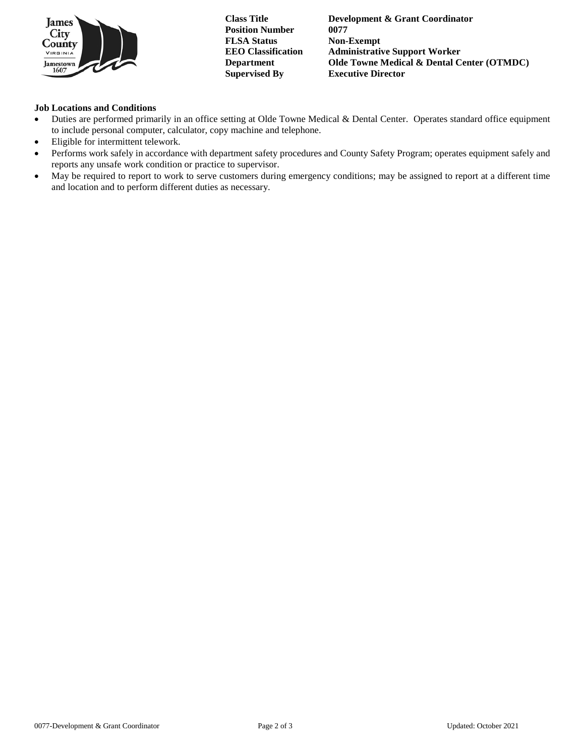

**Position Number 0077 FLSA Status Non-Exempt**

**Class Title Development & Grant Coordinator EEO Classification Administrative Support Worker Department Olde Towne Medical & Dental Center (OTMDC)**<br> **Supervised By Executive Director Executive Director** 

## **Job Locations and Conditions**

- Duties are performed primarily in an office setting at Olde Towne Medical & Dental Center. Operates standard office equipment to include personal computer, calculator, copy machine and telephone.
- Eligible for intermittent telework.
- Performs work safely in accordance with department safety procedures and County Safety Program; operates equipment safely and reports any unsafe work condition or practice to supervisor.
- May be required to report to work to serve customers during emergency conditions; may be assigned to report at a different time and location and to perform different duties as necessary.